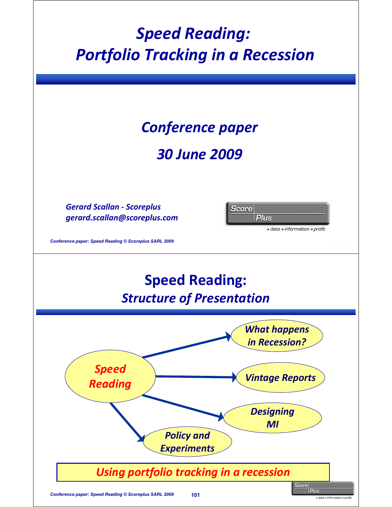## *Speed Reading: Portfolio Tracking in a Recession*

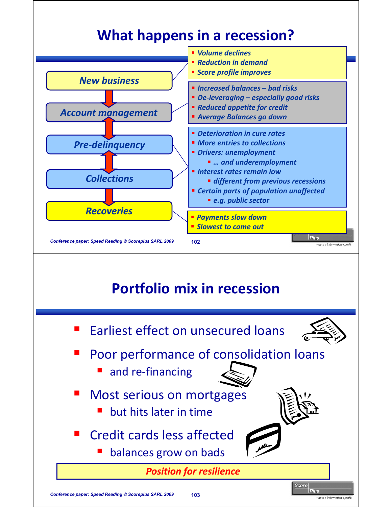### **What happens in a recession?**



#### **Portfolio mix in recession**





- Poor performance of consolidation loans
	- and re-financing
- Most serious on mortgages
	- $\blacksquare$  but hits later in time
- Credit cards less affected
	- balances grow on bads

**Position for resilience** 

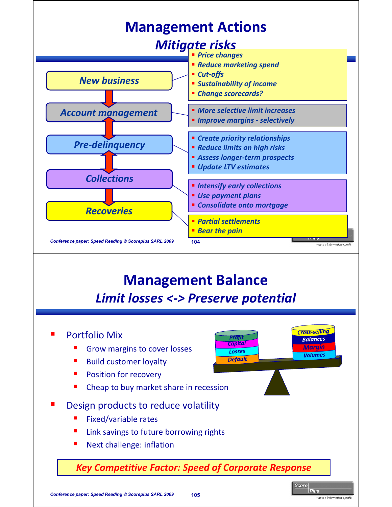

#### **Management Balance** *Limit losses <-> Preserve potential*

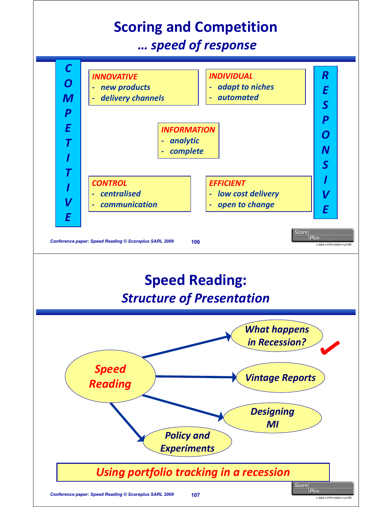# **Scoring and Competition**

*… speed of response*



#### *Using portfolio tracking in a recession*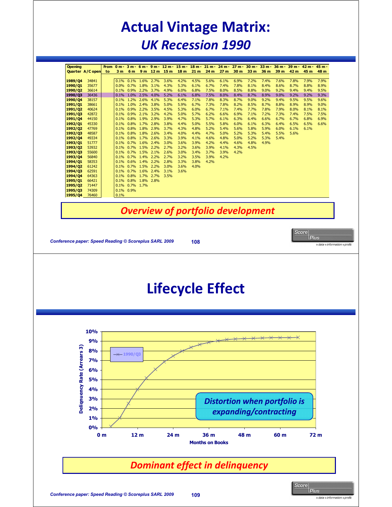### **Actual Vintage Matrix:** *UK Recession 1990*

|                             | Quarter A/C open                        | to | 3 <sub>m</sub>         | 6 m                    | 9 <sub>m</sub> | 12 <sub>m</sub> | 6m-9m-12m-15m-18m-<br>15 <sub>m</sub> | 18 m                                     | 21 <sub>m</sub> | $21 m -$<br>24 m               | 27 <sub>m</sub> | $24 m - 27 m -$<br>30 m                                      | $30 m -$<br>33 m | $33 m -$<br>36 m | $36 m -$<br>39 m | 39 m -<br>42 m | $42 m -$<br>45 m | 48 m         |
|-----------------------------|-----------------------------------------|----|------------------------|------------------------|----------------|-----------------|---------------------------------------|------------------------------------------|-----------------|--------------------------------|-----------------|--------------------------------------------------------------|------------------|------------------|------------------|----------------|------------------|--------------|
| 1989/Q4                     | 34841                                   |    | 0.1%                   | 0.1%                   | 1.6%           | 2.7%            | 3.6%                                  | 4.2%                                     | 4.5%            | 5.6%                           | 6.1%            | 6.9%                                                         | 7.2%             | 7.4%             | 7.6%             | 7.8%           | 7.9%             | 7.9%         |
| 1990/Q1                     | 35677                                   |    | 0.0%                   | 0.7%                   | 1.8%           | 3.1%            | 4.3%                                  | 5.3%                                     | 6.1%            | 6.7%                           | 7.4%            | 7.8%                                                         | 8.1%             | 8.4%             | 8.6%             | 8.7%           | 8.8%             | 8.9%         |
| 1990/Q2<br>1990/Q3          | 36614<br>36436                          |    | 0.1%                   | 0.9%<br>0.1% 1.0% 2.5% | 2.2%           | 3.7%<br>4.0%    | 4.9%<br>5.2%                          | 6.0%<br>6.1%                             | 6.8%<br>6.8%    | 7.5%<br>7.5%                   | 8.0%<br>8.0%    | 8.5%<br>8.4%                                                 | 8.8%<br>8.7%     | 9.0%<br>8.9%     | 9.2%<br>9.0%     | 9.4%<br>9.2%   | 9.4%<br>9.2%     | 9.5%<br>9.3% |
| 1990/Q4                     | 38157                                   |    | 0.1%                   | 1.2%                   | 2.6%           | 4.1%            | 5.3%                                  | 6.4%                                     | 7.1%            | 7.8%                           | 8.3%            | 8.7%                                                         | 9.0%             | 9.2%             | 9.4%             | 9.5%           | 9.5%             | 9.6%         |
| 1991/Q1                     | 38661                                   |    | 0.1%                   | 1.0%                   | 2.4%           | 3.8%            | 5.0%                                  | 5.9%                                     | 6.7%            | 7.3%                           | 7.8%            | 8.2%                                                         | 8.5%             | 8.7%             | 8.8%             | 8.9%           | 8.9%             | 9.0%         |
| 1991/Q2<br>1991/Q3          | 40624<br>42872                          |    | 0.1%<br>0.1%           | 0.9%<br>0.9%           | 2.2%<br>2.1%   | 3.5%<br>3.2%    | 4.5%<br>4.2%                          | 5.3%<br>5.0%                             | 6.0%<br>5.7%    | 6.7%<br>6.2%                   | 7.1%<br>6.6%    | 7.4%<br>6.9%                                                 | 7.7%<br>7.1%     | 7.8%<br>7.2%     | 7.9%<br>7.3%     | 8.0%<br>7.4%   | 8.1%<br>7.5%     | 8.1%<br>7.5% |
| 1991/Q4                     | 44150                                   |    | 0.1%                   | 0.8%                   | 1.9%           | 2.9%            | 3.9%                                  | 4.7%                                     | 5.3%            | 5.7%                           | 6.1%            | 6.3%                                                         | 6.4%             | 6.6%             | 6.7%             | 6.7%           | 6.8%             | 6.9%         |
| 1992/Q1                     | 45330                                   |    | 0.1%                   | 0.8%                   | 1.7%           | 2.8%            | 3.8%                                  | 4.4%                                     | 5.0%            | 5.5%                           | 5.8%            | 6.0%                                                         | 6.1%             | 6.3%             | 6.4%             | 6.5%           | 6.5%             | 6.6%         |
| 1992/Q2<br>1992/Q3          | 47769<br>48587                          |    | 0.1%<br>0.1%           | 0.8%<br>0.8%           | 1.8%<br>1.8%   | 2.9%<br>2.6%    | 3.7%<br>3.4%                          | 4.3%<br>4.0%                             | 4.8%<br>4.4%    | 5.2%<br>4.7%                   | 5.4%<br>5.0%    | 5.6%<br>5.2%                                                 | 5.8%<br>5.3%     | 5.9%<br>5.4%     | 6.0%<br>5.5%     | 6.1%<br>5.6%   | 6.1%             |              |
| 1992/Q4                     | 49334                                   |    | 0.1%                   | 0.8%                   | 1.7%           | 2.6%            | 3.3%                                  | 3.9%                                     | 4.1%            | 4.6%                           | 4.8%            | 5.0%                                                         | 5.2%             | 5.3%             | 5.4%             |                |                  |              |
| 1993/Q1<br>1993/Q2          | 51777<br>53932                          |    | 0.1%<br>0.1%           | 0.7%<br>0.7%           | 1.6%<br>1.5%   | 2.4%<br>2.2%    | 3.0%<br>2.7%                          | 3.6%<br>3.2%                             | 3.9%<br>3.6%    | 4.2%<br>3.9%                   | 4.4%<br>4.1%    | 4.6%<br>4.3%                                                 | 4.8%<br>4.5%     | 4.9%             |                  |                |                  |              |
| 1993/Q3                     | 55600                                   |    | 0.1%                   | 0.7%                   | 1.5%           | 2.1%            | 2.6%                                  | 3.0%                                     | 3.4%            | 3.7%                           | 3.9%            | 4.2%                                                         |                  |                  |                  |                |                  |              |
| 1993/Q4<br>1994/Q1          | 56840<br>58353                          |    | 0.1%<br>0.1%           | 0.7%<br>0.6%           | 1.4%<br>1.4%   | 2.2%<br>2.2%    | 2.7%<br>2.8%                          | 3.2%<br>3.3%                             | 3.5%<br>3.8%    | 3.9%<br>4.2%                   | 4.2%            |                                                              |                  |                  |                  |                |                  |              |
| 1994/Q2                     | 61242                                   |    | 0.1%                   | 0.7%                   | 1.5%           | 2.2%            | 3.0%                                  | 3.6%                                     | 4.0%            |                                |                 |                                                              |                  |                  |                  |                |                  |              |
| 1994/Q3                     | 62591                                   |    | 0.1%                   | 0.7%                   | 1.6%           | 2.4%            | 3.1%                                  | 3.6%                                     |                 |                                |                 |                                                              |                  |                  |                  |                |                  |              |
| 1994/Q4<br>1995/Q1          | 64363<br>66421                          |    | 0.1%<br>0.1%           | 0.8%<br>0.8%           | 1.7%<br>1.8%   | 2.7%<br>2.8%    | 3.5%                                  |                                          |                 |                                |                 |                                                              |                  |                  |                  |                |                  |              |
| 1995/Q <sub>2</sub>         | 71447                                   |    | 0.1% 0.7%              |                        | 1.7%           |                 |                                       |                                          |                 |                                |                 |                                                              |                  |                  |                  |                |                  |              |
| 1995/Q3                     | 74309                                   |    | 0.1% 0.9%              |                        |                |                 |                                       |                                          |                 |                                |                 |                                                              |                  |                  |                  |                |                  |              |
| 1995/Q4                     | 76460                                   |    | 0.1%                   |                        |                |                 |                                       |                                          |                 |                                |                 |                                                              |                  |                  |                  |                |                  |              |
|                             |                                         |    |                        |                        |                |                 |                                       | <b>Overview of portfolio development</b> |                 |                                |                 |                                                              |                  |                  |                  |                |                  |              |
|                             |                                         |    |                        |                        |                |                 |                                       |                                          |                 |                                |                 |                                                              |                  |                  |                  |                |                  |              |
|                             |                                         |    |                        |                        |                |                 |                                       |                                          |                 |                                |                 |                                                              |                  |                  |                  |                |                  |              |
|                             |                                         |    |                        |                        |                |                 |                                       | <b>Lifecycle Effect</b>                  |                 |                                |                 |                                                              |                  |                  |                  |                |                  |              |
|                             | 10%<br>9%<br>8%<br>7%<br>6%<br>5%<br>4% |    | $\rightarrow +1990/03$ |                        |                |                 |                                       |                                          | $***$           |                                |                 |                                                              |                  |                  |                  |                |                  |              |
| Deliqnuency Rate (Arrears 3 | 3%<br>2%<br>$1\%$<br>0%                 |    |                        |                        |                |                 |                                       |                                          |                 |                                |                 | <b>Distortion when portfolio is</b><br>expanding/contracting |                  |                  |                  |                |                  |              |
|                             | 0 <sub>m</sub>                          |    |                        | 12 <sub>m</sub>        |                |                 | 24 m                                  |                                          |                 | 36 m<br><b>Months on Books</b> |                 | 48 m                                                         |                  |                  | 60 m             |                |                  | 72 m         |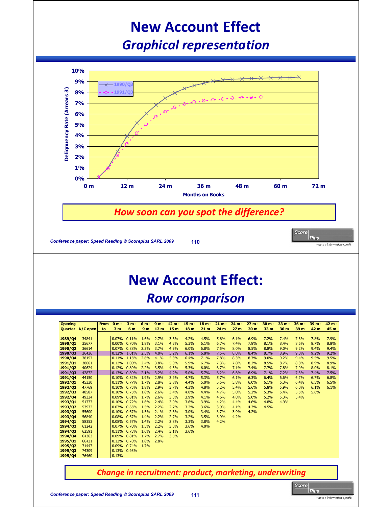### **New Account Effect** *Graphical representation*



#### **New Account Effect:** *Row comparison*

| <b>Opening</b>      |                     | <b>From</b> | 0 <sub>m</sub> | $3m -$         | $6m -$         | $9m -$          | $12 m -$        | 15 <sub>m</sub> | 18 <sub>m</sub> | 21 m | $24 m -$        | $27 m -$        | $30 m -$        | $33 m -$ | $36 m -$ | $39 m -$ | $42 m -$ |
|---------------------|---------------------|-------------|----------------|----------------|----------------|-----------------|-----------------|-----------------|-----------------|------|-----------------|-----------------|-----------------|----------|----------|----------|----------|
|                     | Quarter A/C open to |             | 3 <sub>m</sub> | 6 m            | 9 <sub>m</sub> | 12 <sub>m</sub> | 15 <sub>m</sub> | 18 <sub>m</sub> | 21 <sub>m</sub> | 24 m | 27 <sub>m</sub> | 30 <sub>m</sub> | 33 <sub>m</sub> | 36 m     | 39 m     | 42 m     | 45 m     |
|                     |                     |             |                |                |                |                 |                 |                 |                 |      |                 |                 |                 |          |          |          |          |
| 1989/04             | 34841               |             | 0.07%          | 0.11%          | 1.6%           | 2.7%            | 3.6%            | 4.2%            | 4.5%            | 5.6% | 6.1%            | 6.9%            | 7.2%            | 7.4%     | 7.6%     | 7.8%     | 7.9%     |
| 1990/01             | 35677               |             | 0.00%          | 0.70%          | 1.8%           | 3.1%            | 4.3%            | 5.3%            | 6.1%            | 6.7% | 7.4%            | 7.8%            | 8.1%            | 8.4%     | 8.6%     | 8.7%     | 8.8%     |
| 1990/Q <sub>2</sub> | 36614               |             | 0.07%          | 0.88%          | 2.2%           | 3.7%            | 4.9%            | 6.0%            | 6.8%            | 7.5% | 8.0%            | 8.5%            | 8.8%            | 9.0%     | 9.2%     | 9.4%     | 9.4%     |
| 1990/03             | 36436               |             | 0.12%          | 1.01%          | 2.5%           | 4.0%            | 5.2%            | 6.1%            | 6.8%            | 7.5% | 8.0%            | 8.4%            | 8.7%            | 8.9%     | 9.0%     | 9.2%     | 9.2%     |
| 1990/04             | 38157               |             | 0.11%          | 1.15%          | 2.6%           | 4.1%            | 5.3%            | 6.4%            | 7.1%            | 7.8% | 8.3%            | 8.7%            | 9.0%            | 9.2%     | 9.4%     | 9.5%     | 9.5%     |
| 1991/01             | 38661               |             | 0.12%          | 1.00%          | 2.4%           | 3.8%            | 5.0%            | 5.9%            | 6.7%            | 7.3% | 7.8%            | 8.2%            | 8.5%            | 8.7%     | 8.8%     | 8.9%     | 8.9%     |
| 1991/02             | 40624               |             | 0.12%          | 0.89%          | 2.2%           | 3.5%            | 4.5%            | 5.3%            | 6.0%            | 6.7% | 7.1%            | 7.4%            | 7.7%            | 7.8%     | 7.9%     | 8.0%     | 8.1%     |
| 1991/Q3             | 42872               |             | 0.13%          | 0.89%          | 2.1%           | 3.2%            | 4.2%            | 5.0%            | 5.7%            | 6.2% | 6.6%            | 6.9%            | 7.1%            | 7.2%     | 7.3%     | 7.4%     | 7.5%     |
| 1991/04             | 44150               |             | 0.10%          | 0.82%          | 1.9%           | 2.9%            | 3.9%            | 4.7%            | 5.3%            | 5.7% | 6.1%            | 6.3%            | 6.4%            | 6.6%     | 6.7%     | 6.7%     | 6.8%     |
| 1992/Q1             | 45330               |             | 0.11%          | 0.77%          | 1.7%           | 2.8%            | 3.8%            | 4.4%            | 5.0%            | 5.5% | 5.8%            | 6.0%            | 6.1%            | 6.3%     | 6.4%     | 6.5%     | 6.5%     |
| 1992/02             | 47769               |             | 0.10%          | 0.75%          | 1.8%           | 2.9%            | 3.7%            | 4.3%            | 4.8%            | 5.2% | 5.4%            | 5.6%            | 5.8%            | 5.9%     | 6.0%     | 6.1%     | 6.1%     |
| 1992/03             | 48587               |             | 0.10%          | 0.75%          | 1.8%           | 2.6%            | 3.4%            | 4.0%            | 4.4%            | 4.7% | 5.0%            | 5.2%            | 5.3%            | 5.4%     | 5.5%     | 5.6%     |          |
| 1992/04             | 49334               |             | 0.09%          | 0.81%          | 1.7%           | 2.6%            | 3.3%            | 3.9%            | 4.1%            | 4.6% | 4.8%            | 5.0%            | 5.2%            | 5.3%     | 5.4%     |          |          |
| 1993/01             | 51777               |             | 0.10%          | 0.72%          | 1.6%           | 2.4%            | 3.0%            | 3.6%            | 3.9%            | 4.2% | 4.4%            | 4.6%            | 4.8%            | 4.9%     |          |          |          |
| 1993/Q <sub>2</sub> | 53932               |             | 0.07%          | 0.65%          | 1.5%           | 2.2%            | 2.7%            | 3.2%            | 3.6%            | 3.9% | 4.1%            | 4.3%            | 4.5%            |          |          |          |          |
| 1993/03             | 55600               |             | 0.10%          | 0.67%          | 1.5%           | 2.1%            | 2.6%            | 3.0%            | 3.4%            | 3.7% | 3.9%            | 4.2%            |                 |          |          |          |          |
| 1993/04             | 56840               |             | 0.08%          | 0.67%          | 1.4%           | 2.2%            | 2.7%            | 3.2%            | 3.5%            | 3.9% | 4.2%            |                 |                 |          |          |          |          |
| 1994/01             | 58353               |             | 0.08%          | 0.57%          | 1.4%           | 2.2%            | 2.8%            | 3.3%            | 3.8%            | 4.2% |                 |                 |                 |          |          |          |          |
| 1994/Q <sub>2</sub> | 61242               |             | 0.07%          | 0.70%          | 1.5%           | 2.2%            | 3.0%            | 3.6%            | 4.0%            |      |                 |                 |                 |          |          |          |          |
| 1994/03             | 62591               |             | 0.11%          | 0.73%          | 1.6%<br>1.7%   | 2.4%            | 3.1%            | 3.6%            |                 |      |                 |                 |                 |          |          |          |          |
| 1994/04             | 64363               |             | 0.09%<br>0.12% | 0.81%<br>0.78% | 1.8%           | 2.7%<br>2.8%    | 3.5%            |                 |                 |      |                 |                 |                 |          |          |          |          |
| 1995/01             | 66421<br>71447      |             | 0.09%          | 0.74%          | 1.7%           |                 |                 |                 |                 |      |                 |                 |                 |          |          |          |          |
| 1995/02<br>1995/03  | 74309               |             | 0.13%          | 0.93%          |                |                 |                 |                 |                 |      |                 |                 |                 |          |          |          |          |
|                     | 76460               |             | 0.13%          |                |                |                 |                 |                 |                 |      |                 |                 |                 |          |          |          |          |
| 1995/Q4             |                     |             |                |                |                |                 |                 |                 |                 |      |                 |                 |                 |          |          |          |          |

*Change in recruitment: product, marketing, underwriting*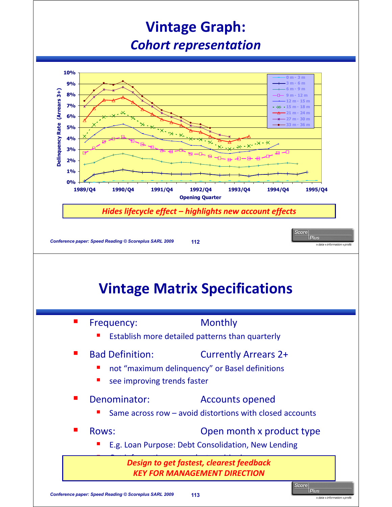### **Vintage Graph:** *Cohort representation*

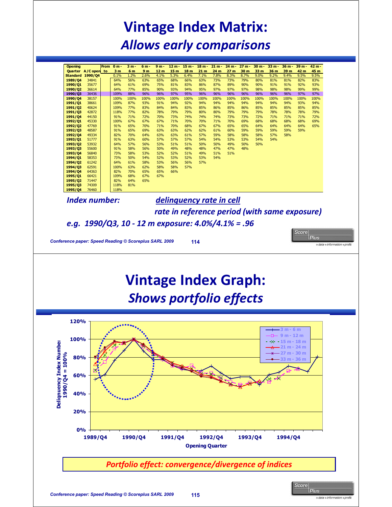### **Vintage Index Matrix:** *Allows early comparisons*

| <b>Opening</b>      |                     | From 0 m-      | 3 m - | 6 m -          | $9m -$          |                 | $12 m - 15 m -$ | $18 m -$        | $21 m -$ | $24 m -$        | $27 m -$ | $30 m -$        | $33 m -$ | $36 m -$ | $39 m -$ | $42 m -$ |
|---------------------|---------------------|----------------|-------|----------------|-----------------|-----------------|-----------------|-----------------|----------|-----------------|----------|-----------------|----------|----------|----------|----------|
|                     | Quarter A/C open to | 3 <sub>m</sub> | 6 m   | 9 <sub>m</sub> | 12 <sub>m</sub> | 15 <sub>m</sub> | 18 <sub>m</sub> | 21 <sub>m</sub> | 24 m     | 27 <sub>m</sub> | 30 m     | 33 <sub>m</sub> | 36 m     | 39 m     | 42 m     | 45 m     |
|                     | Standard 1990/04    | 0.1%           | 1.2%  | 2.6%           | 4.1%            | 5.3%            | 6.4%            | 7.1%            | 7.8%     | 8.3%            | 8.7%     | 9.0%            | 9.2%     | 9.4%     | 9.5%     | 9.5%     |
| 1989/04             | 34841               | 64%            | 56%   | 63%            | 65%             | 68%             | 66%             | 63%             | 73%      | 73%             | 79%      | 80%             | 81%      | 81%      | 82%      | 83%      |
| 1990/01             | 35677               | 64%            | 61%   | 69%            | 75%             | 81%             | 83%             | 86%             | 87%      | 89%             | 90%      | 90%             | 91%      | 91%      | 92%      | 93%      |
| 1990/Q <sub>2</sub> | 36614               | 64%            | 77%   | 85%            | 90%             | 93%             | 94%             | 95%             | 97%      | 97%             | 97%      | 98%             | 98%      | 98%      | 99%      | 99%      |
| 1990/03             | 36436               | 109%           | 88%   | 96%            | 96%             | 97%             | 95%             | 96%             | 96%      | 96%             | 96%      | 96%             | 96%      | 96%      | 97%      | 97%      |
| 1990/04             | 38157               | 100%           | 100%  | 100%           | 100%            | 100%            | 100%            | 100%            | 100%     | 100%            | 100%     | 100%            | 100%     | 100%     | 100%     | 100%     |
| 1991/01             | 38661               | 109%           | 87%   | 93%            | 91%             | 94%             | 92%             | 94%             | 94%      | 94%             | 94%      | 94%             | 94%      | 94%      | 93%      | 94%      |
| 1991/02             | 40624               | 109%           | 77%   | 83%            | 84%             | 84%             | 83%             | 85%             | 86%      | 85%             | 86%      | 85%             | 85%      | 85%      | 85%      | 85%      |
| 1991/03             | 42872               | 118%           | 77%   | 82%            | 78%             | 79%             | 79%             | 80%             | 80%      | 79%             | 79%      | 79%             | 78%      | 78%      | 78%      | 79%      |
| 1991/04             | 44150               | 91%            | 71%   | 72%            | 70%             | 73%             | 74%             | 74%             | 74%      | 73%             | 73%      | 72%             | 71%      | 71%      | 71%      | 72%      |
| 1992/01             | 45330               | 100%           | 67%   | 67%            | 67%             | 71%             | 70%             | 70%             | 71%      | 70%             | 69%      | 68%             | 68%      | 68%      | 68%      | 69%      |
| 1992/Q <sub>2</sub> | 47769               | 91%            | 65%   | 70%            | 71%             | 70%             | 68%             | 67%             | 67%      | 65%             | 65%      | 64%             | 64%      | 64%      | 64%      | 65%      |
| 1992/Q3             | 48587               | 91%            | 65%   | 69%            | 63%             | 63%             | 62%             | 62%             | 61%      | 60%             | 59%      | 59%             | 59%      | 59%      | 59%      |          |
| 1992/Q4             | 49334               | 82%            | 70%   | 64%            | 63%             | 63%             | 61%             | 57%             | 59%      | 58%             | 58%      | 58%             | 57%      | 58%      |          |          |
| 1993/01             | 51777               | 91%            | 63%   | 60%            | 57%             | 57%             | 57%             | 54%             | 54%      | 53%             | 53%      | 54%             | 54%      |          |          |          |
| 1993/Q <sub>2</sub> | 53932               | 64%            | 57%   | 56%            | 53%             | 51%             | 51%             | 50%             | 50%      | 49%             | 50%      | 50%             |          |          |          |          |
| 1993/03             | 55600               | 91%            | 58%   | 56%            | 50%             | 49%             | 48%             | 48%             | 47%      | 47%             | 48%      |                 |          |          |          |          |
| 1993/04             | 56840               | 73%            | 58%   | 53%            | 52%             | 52%             | 51%             | 49%             | 51%      | 51%             |          |                 |          |          |          |          |
| 1994/01             | 58353               | 73%            | 50%   | 54%            | 52%             | 53%             | 52%             | 53%             | 54%      |                 |          |                 |          |          |          |          |
| 1994/02             | 61242               | 64%            | 61%   | 58%            | 53%             | 56%             | 56%             | 57%             |          |                 |          |                 |          |          |          |          |
| 1994/03             | 62591               | 100%           | 63%   | 62%            | 58%             | 58%             | 57%             |                 |          |                 |          |                 |          |          |          |          |
| 1994/04             | 64363               | 82%            | 70%   | 65%            | 65%             | 66%             |                 |                 |          |                 |          |                 |          |          |          |          |
| 1995/01             | 66421               | 109%           | 68%   | 67%            | 67%             |                 |                 |                 |          |                 |          |                 |          |          |          |          |
| 1995/02             | 71447               | 82%            | 64%   | 65%            |                 |                 |                 |                 |          |                 |          |                 |          |          |          |          |
| 1995/03             | 74309               | 118%           | 81%   |                |                 |                 |                 |                 |          |                 |          |                 |          |          |          |          |
| 1995/04             | 76460               | 118%           |       |                |                 |                 |                 |                 |          |                 |          |                 |          |          |          |          |

*Index number: delinquency rate in cell* 

*rate in reference period (with same exposure)*

Score

*e.g. 1990/Q3, 10 - 12 m exposure: 4.0%/4.1% = .96*

**Conference paper: Speed Reading © Scoreplus SARL 2009 114 114 114 114 114 115 1160 1160 1160 1160 1160 1160 1160 1160 1160 1160 1160 1160 1160 1160 1160 1160 1160 1160 116** 

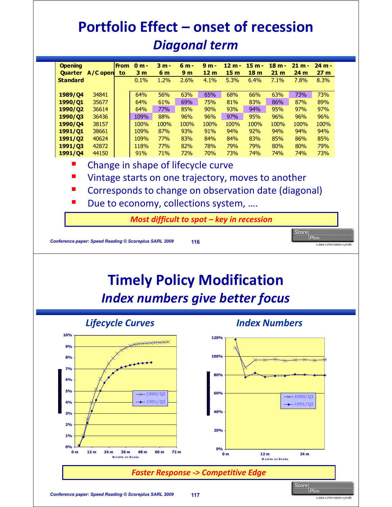### **Portfolio Effect – onset of recession** *Diagonal term*

| <b>Opening</b>  |                                    | <b>From</b> | $0 m -$        | $3m -$ | 6 m -          | $9m -$          | $12 m -$        | $15 m -$        | $18 m -$        | $21 m -$ | $24 m -$        |
|-----------------|------------------------------------|-------------|----------------|--------|----------------|-----------------|-----------------|-----------------|-----------------|----------|-----------------|
| <b>Quarter</b>  | $A/C$ open                         | to          | 3 <sub>m</sub> | 6 m    | 9 <sub>m</sub> | 12 <sub>m</sub> | 15 <sub>m</sub> | 18 <sub>m</sub> | 21 <sub>m</sub> | 24 m     | 27 <sub>m</sub> |
| <b>Standard</b> |                                    |             | 0.1%           | 1.2%   | 2.6%           | 4.1%            | 5.3%            | 6.4%            | 7.1%            | 7.8%     | 8.3%            |
|                 |                                    |             |                |        |                |                 |                 |                 |                 |          |                 |
| 1989/04         | 34841                              |             | 64%            | 56%    | 63%            | 65%             | 68%             | 66%             | 63%             | 73%      | 73%             |
| 1990/01         | 35677                              |             | 64%            | 61%    | 69%            | 75%             | 81%             | 83%             | 86%             | 87%      | 89%             |
| 1990/Q2         | 36614                              |             | 64%            | 77%    | 85%            | 90%             | 93%             | 94%             | 95%             | 97%      | 97%             |
| 1990/03         | 36436                              |             | 109%           | 88%    | 96%            | 96%             | 97%             | 95%             | 96%             | 96%      | 96%             |
| 1990/04         | 38157                              |             | 100%           | 100%   | 100%           | 100%            | 100%            | 100%            | 100%            | 100%     | 100%            |
| 1991/01         | 38661                              |             | 109%           | 87%    | 93%            | 91%             | 94%             | 92%             | 94%             | 94%      | 94%             |
| 1991/02         | 40624                              |             | 109%           | 77%    | 83%            | 84%             | 84%             | 83%             | 85%             | 86%      | 85%             |
| 1991/03         | 42872                              |             | 118%           | 77%    | 82%            | 78%             | 79%             | 79%             | 80%             | 80%      | 79%             |
| 1991/04         | 44150                              |             | 91%            | 71%    | 72%            | 70%             | 73%             | 74%             | 74%             | 74%      | 73%             |
|                 | Change in shane of lifervrle rurve |             |                |        |                |                 |                 |                 |                 |          |                 |

- Change in shape of lifecycle curve
- **URIDE:** Vintage starts on one trajectory, moves to another
- Corresponds to change on observation date (diagonal)
- Due to economy, collections system, ....

*Most difficult to spot – key in recession*

**Timely Policy Modification**  *Index numbers give better focus Lifecycle Curves Index Numbers* **10% 120% 9% 100% 8% 7% 80% 6% 5% 1990/Q3 60% 1990/Q3 1991/Q3 4% 1991/Q3 40% 3% 2% 20% 1% 0% 0% 0 m 12 m 24 m 36 m 48 m 60 m 72 m 0 m 12 m 24 m M ont hs on B ooks M ont hs on B o oks** *Faster Response -> Competitive Edge*Score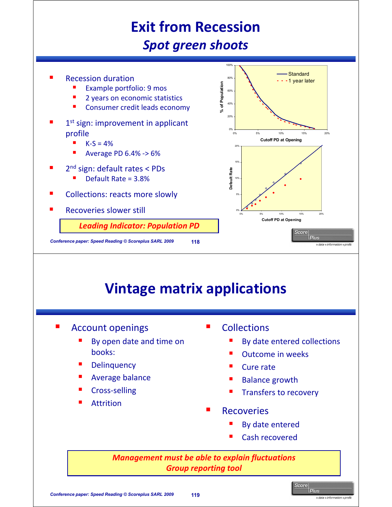### **Exit from Recession** *Spot green shoots*



#### **Vintage matrix applications**

- Account openings
	- By open date and time on books:
	- **Delinquency**
	- Average balance
	- Cross-selling
	- Attrition
- **Collections** 
	- By date entered collections
	- Outcome in weeks
	- Cure rate
	- Balance growth
	- Transfers to recovery
- **Recoveries** 
	- By date entered
	- Cash recovered

*Management must be able to explain fluctuations Group reporting tool*

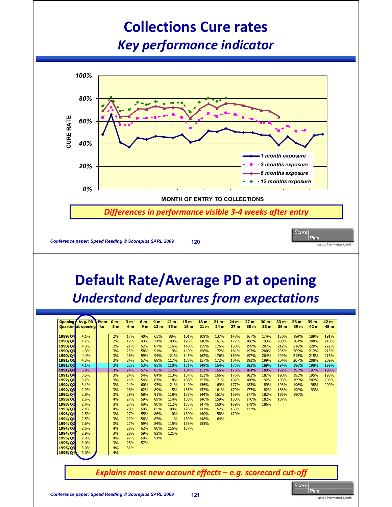#### **Collections Cure rates** *Key performance indicator*



### **Default Rate/Average PD at opening** *Understand departures from expectations*

| Opening            | Avg. PD                   | <b>From</b> | $0 m -$        | $3m -$                                                      | $6m -$         | $9m -$          | $12 m -$        | $15 m -$        | 18 <sub>m</sub> | $21 m -$     | $24 m -$        | $27 m -$     | $30 m -$     | $33 m -$     | $36 m -$     | $39m -$      | $42 m -$     |
|--------------------|---------------------------|-------------|----------------|-------------------------------------------------------------|----------------|-----------------|-----------------|-----------------|-----------------|--------------|-----------------|--------------|--------------|--------------|--------------|--------------|--------------|
|                    | <b>Quarter</b> at opening | to          | 3 <sub>m</sub> | 6 m                                                         | 9 <sub>m</sub> | 12 <sub>m</sub> | 15 <sub>m</sub> | 18 <sub>m</sub> | 21 <sub>m</sub> | 24 m         | 27 <sub>m</sub> | 30 m         | 33 m         | 36 m         | 39 m         | 42 m         | 45 m         |
|                    |                           |             |                |                                                             |                |                 |                 |                 |                 |              |                 |              |              |              |              |              |              |
| 1989/04            | 4.1%                      |             | 2%             | 17%                                                         | 40%            | 65%             | 88%             | 101%            | 109%            | 137%         | 148%            | 167%         | 174%         | 180%         | 184%         | 189%         | 191%         |
| 1990/01            | 4.2%                      |             | 2%             | 17%                                                         | 43%            | 74%             | 103%            | 126%            | 146%            | 161%         | 177%            | 186%         | 193%         | 200%         | 204%         | 208%         | 210%         |
| 1990/Q2            | 4.3%                      |             | 2%             | 21%                                                         | 52%            | 87%             | 116%            | 140%            | 159%            | 176%         | 188%            | 199%         | 207%         | 212%         | 216%         | 220%         | 222%         |
| 1990/Q3            | 4.3%                      |             | 3%             | 23%                                                         | 58%            | 91%             | 119%            | 140%            | 158%            | 172%         | 184%            | 193%         | 200%         | 205%         | 209%         | 212%         | 213%         |
| 1990/04            | 4.4%                      |             | 3%             | 26%                                                         | 59%            | 94%             | 121%            | 145%            | 162%            | 176%         | 189%            | 197%         | 204%         | 209%         | 213%         | 215%         | 216%         |
| 1991/Q1<br>1991/02 | 4.3%                      |             | 3%<br>3%       | 24%<br>22%                                                  | 57%<br>53%     | 88%<br>85%      | 117%            | 138%<br>131%    | 157%<br>149%    | 172%<br>164% | 184%            | 193%         | 199%<br>189% | 204%<br>194% | 207%<br>196% | 208%<br>198% | 209%<br>199% |
|                    | 4.1%<br>3.8%              |             | 3%             | 24%                                                         | 57%            | 85%             | 110%<br>112%    | 134%            | 153%            | 166%         | 175%<br>176%    | 183%<br>184% | 189%         | 192%         | 195%         | 197%         | 199%         |
| 1991/Q3<br>1991/Q4 | 3.5%                      |             | 3%             | 24%                                                         | 54%            | 84%             | 113%            | 137%            | 153%            | 166%         | 176%            | 183%         | 187%         | 190%         | 193%         | 195%         | 198%         |
| 1992/01            | 3.2%                      |             | 3%             | 24%                                                         | 54%            | 87%             | 118%            | 138%            | 157%            | 171%         | 182%            | 186%         | 192%         | 196%         | 199%         | 202%         | 203%         |
| 1992/Q2            | 3.1%                      |             | 3%             | 24%                                                         | 60%            | 95%             | 121%            | 140%            | 156%            | 169%         | 177%            | 183%         | 189%         | 193%         | 196%         | 198%         | 200%         |
| 1992/03            | 2.9%                      |             | 3%             | 26%                                                         | 62%            | 89%             | 115%            | 135%            | 152%            | 161%         | 170%            | 177%         | 182%         | 186%         | 190%         | 193%         |              |
| 1992/Q4            | 2.8%                      |             | 3%             | 29%                                                         | 58%            | 91%             | 118%            | 138%            | 144%            | 161%         | 169%            | 177%         | 182%         | 186%         | 190%         |              |              |
| 1993/Q1            | 2.6%                      |             | 4%             | 27%                                                         | 59%            | 89%             | 114%            | 138%            | 146%            | 159%         | 168%            | 176%         | 182%         | 187%         |              |              |              |
| 1993/Q2            | 2.4%                      |             | 3%             | 27%                                                         | 60%            | 90%             | 112%            | 133%            | 147%            | 160%         | 169%            | 179%         | 186%         |              |              |              |              |
| 1993/03            | 2.4%                      |             | 4%             | 28%                                                         | 60%            | 85%             | 109%            | 126%            | 141%            | 152%         | 163%            | 172%         |              |              |              |              |              |
| 1993/04            | 2.5%                      |             | 3%             | 27%                                                         | 55%            | 86%             | 110%            | 130%            | 140%            | 158%         | 170%            |              |              |              |              |              |              |
| 1994/Q1            | 2.5%                      |             | 3%             | 22%                                                         | 56%            | 85%             | 111%            | 130%            | 148%            | 164%         |                 |              |              |              |              |              |              |
| 1994/Q2            | 2.6%                      |             | 3%             | 27%                                                         | 59%            | 84%             | 115%            | 138%            | 155%            |              |                 |              |              |              |              |              |              |
| 1994/Q3            | 2.6%                      |             | 4%             | 28%                                                         | 62%            | 90%             | 116%            | 137%            |                 |              |                 |              |              |              |              |              |              |
| 1994/04            | 2.9%                      |             | 3%             | 28%                                                         | 59%            | 92%             | 121%            |                 |                 |              |                 |              |              |              |              |              |              |
| 1995/Q1            | 2.9%                      |             | 4%             | 27%                                                         | 60%            | 94%             |                 |                 |                 |              |                 |              |              |              |              |              |              |
| 1995/Q2            | 3.0%                      |             | 3%             | 25%                                                         | 57%            |                 |                 |                 |                 |              |                 |              |              |              |              |              |              |
| 1995/Q3            | 3.0%                      |             | 4%             | 31%                                                         |                |                 |                 |                 |                 |              |                 |              |              |              |              |              |              |
| 1995/Q4            | 3.0%                      |             | 4%             |                                                             |                |                 |                 |                 |                 |              |                 |              |              |              |              |              |              |
|                    |                           |             |                |                                                             |                |                 |                 |                 |                 |              |                 |              |              |              |              |              |              |
|                    |                           |             |                |                                                             |                |                 |                 |                 |                 |              |                 |              |              |              |              |              |              |
|                    |                           |             |                | Explains most new account effects $-e.g.$ scorecard cut-off |                |                 |                 |                 |                 |              |                 |              |              |              |              |              |              |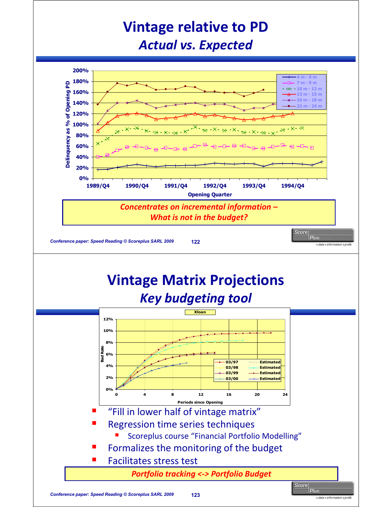#### **Vintage relative to PD** *Actual vs. Expected*



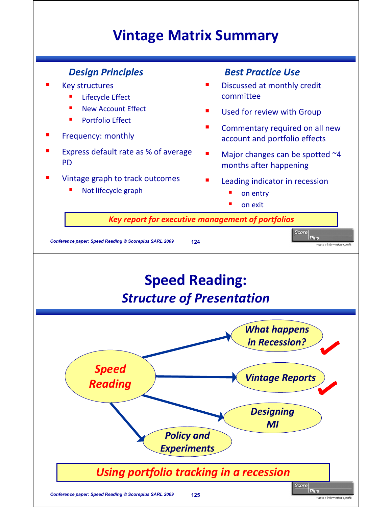#### **Vintage Matrix Summary**

- Key structures
	- Lifecycle Effect
	- New Account Effect
	- Portfolio Effect
- Frequency: monthly
- Express default rate as % of average PD
- Vintage graph to track outcomes
	- Not lifecycle graph

#### **Design Principles** Best Practice Use

- Discussed at monthly credit committee
- Used for review with Group
- **EXECOMMENTARY required on all new** account and portfolio effects
- $\blacksquare$  Major changes can be spotted  $\sim$ 4 months after happening
- Leading indicator in recession
	- on entry
	- on exit

**Key report for executive management of portfolios** 

**Conference paper: Speed Reading © Scoreplus SARL 2009 124 deserting and alternation** *arc n***d** *atta**information**profit* 

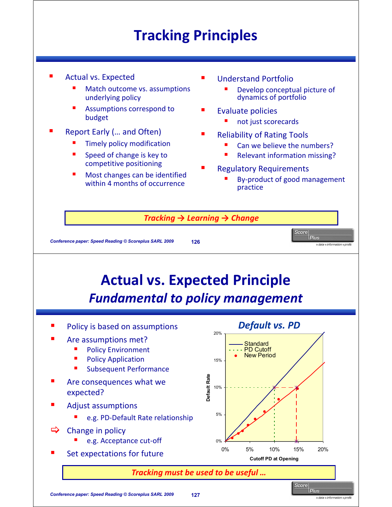### **Tracking Principles**

- Actual vs. Expected
	- Match outcome vs. assumptions underlying policy
	- Assumptions correspond to budget
- Report Early (… and Often)
	- Timely policy modification
	- Speed of change is key to competitive positioning
	- Most changes can be identified within 4 months of occurrence
- Understand Portfolio
	- Develop conceptual picture of dynamics of portfolio
- Evaluate policies
	- not just scorecards
- Reliability of Rating Tools
	- Can we believe the numbers?
	- Relevant information missing?
- Regulatory Requirements
	- By-product of good management practice

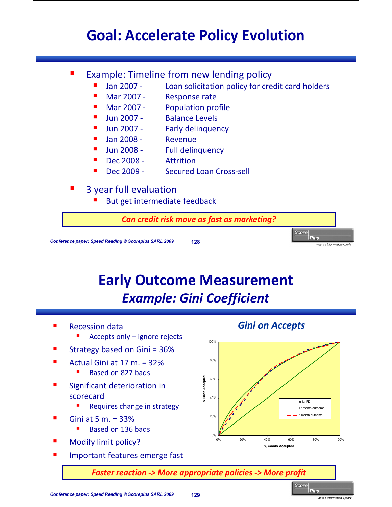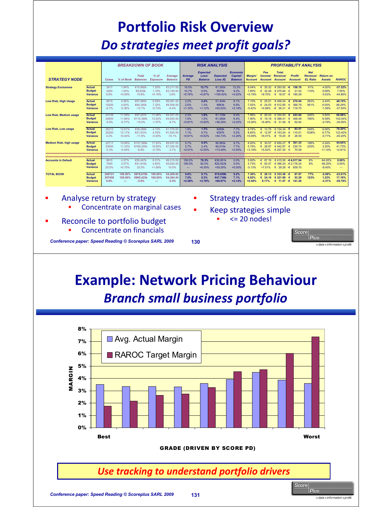### **Portfolio Risk Overview** *Do strategies meet profit goals?*

|                                                                  |                                                   |                               |                              | <b>BREAKDOWN OF BOOK</b>          |                              |                                    |                            | <b>RISK ANALYSIS</b>                       |                                   |                                               |                            |                                               |                                            |                                                              | <b>PROFITABILITY ANALYSIS</b>                    |                                   |                                  |
|------------------------------------------------------------------|---------------------------------------------------|-------------------------------|------------------------------|-----------------------------------|------------------------------|------------------------------------|----------------------------|--------------------------------------------|-----------------------------------|-----------------------------------------------|----------------------------|-----------------------------------------------|--------------------------------------------|--------------------------------------------------------------|--------------------------------------------------|-----------------------------------|----------------------------------|
| <b>STRATEGY NODE</b>                                             |                                                   | Cases                         | % of Book                    | <b>Total</b><br><b>Balances</b>   | $%$ of<br><b>Exposure</b>    | Average<br><b>Balance</b>          | Average<br><b>PD</b>       | <b>Expected</b><br>Loss/<br><b>Balance</b> | <b>Expected</b><br>Loss $(E)$     | <b>Economic</b><br>Capital/<br><b>Balance</b> | <b>Margin/</b><br>Account  | Fee<br>Income/<br>Account                     | <b>Total</b><br>Revenue/<br><b>Account</b> | <b>Profit</b> /<br>Account                                   | <b>Net</b><br>Revenue/<br><b>EL Ratio</b>        | <b>Return on</b><br><b>Assets</b> | <b>RAROC</b>                     |
| <b>Strategy Exclusions</b>                                       | <b>Actual</b><br><b>Budget</b><br><b>Variance</b> | 3417<br>3200<br>6.8%          | 1.64%<br>1.54%<br>$+0.09%$   | €10.992k<br>€9.920k<br>10.8%      | 1.25%<br>1.10%<br>$+0.16%$   | €3.217.00<br>€3.100.00<br>3.8%     | 16.5%<br>10.7%<br>$+5.76%$ | 12.7%<br>6.8%<br>+5.87%                    | €1.392k<br>€675k<br>+106.40%      | 13.2%<br>9.2%<br>$+4.02%$                     | 8.04%<br>7.85%<br>$+0.19%$ | 35.32<br>€<br>$\epsilon$<br>32.49<br>$+8.70%$ | 6293.92<br>€ 275.84<br>6.18.07             | 158.76<br>٠€<br>$\epsilon$<br>21.53<br>$\epsilon$<br>180.29  | 61%<br>110%                                      | $-4.93%$<br>0.69%<br>$-5.63%$     | $-37.32%$<br>7.55%<br>-44.86%    |
| <b>Low Risk, High Usage</b>                                      | <b>Actual</b><br><b>Budget</b><br><b>Variance</b> | 9519<br>10200<br>$-6.7%$      | 4.56%<br>4.92%<br>$-0.36%$   | €57.885k<br>€66,300k<br>$-12.7%$  | 6.59%<br>7.32%<br>$-0.73%$   | €6,081,00<br>€6,500.00<br>$-6.4%$  | 3.2%<br>2.0%<br>$+1.10%$   | 2.4%<br>1.3%<br>$+1.12%$                   | €1.404k<br>€863k<br>+62.62%       | 9.1%<br>6.9%<br>$+2.16%$                      | 7.10%<br>7.52%<br>$-0.42%$ | 25.01<br>€<br>$\epsilon$<br>24.03<br>$+4.08%$ | 645654<br>€ 512.85<br>$-6$ 56.31           | 270.04<br>€<br>$\epsilon$<br>389.79<br>$-\epsilon$<br>119.75 | 283%<br>561%                                     | 4.44%<br>6.00%<br>$-1.56%$        | 48.74%<br>86.29%<br>$-37.55%$    |
| <b>Low Risk, Medium usage</b>                                    | <b>Actual</b><br><b>Budget</b><br><b>Variance</b> | 23139<br>24600<br>$-5.9%$     | 11.09%<br>11.86%<br>$-0.77%$ | €97.207k<br>€114.390k<br>$-15.0%$ | 11.06%<br>12.63%<br>$-1.57%$ | €4,201.00<br>€4.650.00<br>$-9.7%$  | 2.3%<br>1.5%<br>$+0.81%$   | 1.8%<br>1.0%<br>$+0.82%$                   | €1.729k<br>€1.092k<br>+58.28%     | 8.4%<br>6.4%<br>$+2.02%$                      | 7.96%<br>7.90%<br>$+0.06%$ | 20.43<br>€<br>$\epsilon$<br>19.19<br>$+6.46%$ | 635483<br>6,386,41<br>$-6$ 31.58           | 243.84<br>€<br>$\epsilon$<br>306.49<br>$-\epsilon$<br>62.64  | 426%<br>790%                                     | 5.80%<br>6.59%<br>$-0.79%$        | 68.98%<br>103.04%<br>$-34.06%$   |
| Low Risk, Low usage                                              | <b>Actual</b><br><b>Budget</b><br><b>Variance</b> | 26315<br>25250<br>4.2%        | 12.61%<br>12.17%<br>$+0.44%$ | €36.288k<br>€41.031k<br>$-11.6%$  | 4.13%<br>4.53%<br>$-0.40%$   | €1.379.00<br>€1.625.00<br>$-15.1%$ | 1.8%<br>1.1%<br>$+0.61%$   | 1.3%<br>0.7%<br>$+0.62%$                   | €489k<br>€297k<br>+64.73%         | 7.7%<br>5.5%<br>$+2.26%$                      | 8.74%<br>8.65%<br>$+0.09%$ | 13.75<br>€<br>$\epsilon$<br>12.97<br>$+6.01%$ | 6134.34<br>6153.54<br>$-6$ 19.20           | 83.51<br>$\epsilon$<br>110.01<br>$-\epsilon$<br>26.50        | 549%<br>1036%                                    | 6.06%<br>6.77%<br>$-0.71%$        | 78.20%<br>123.40%<br>$-45.20%$   |
| <b>Medium Risk, high usage</b><br>****************************** | <b>Actual</b><br><b>Budget</b><br><b>Variance</b> | 22717<br>23500<br>$-3.3%$<br> | 10.88%<br>11.33%<br>$-0.44%$ | €157,588k<br>€169.200k<br>$-6.9%$ | 17.93%<br>18.69%<br>$-0.75%$ | €6,937.00<br>€7.200.00<br>$-3.7%$  | 5.7%<br>3.7%<br>$+2.01%$   | 4.4%<br>2.4%<br>$+2.05%$                   | €6.965k<br>€4.015k<br>+73.48%     | 9.7%<br>7.7%<br>$+2.05%$                      | 8.93%<br>5.75%<br>$+3.18%$ | 30.57<br>$\epsilon$<br>628.97<br>$+5.52%$     | 650.27<br>€442.97<br>€ 207.30              | 301.33<br>€<br>230.74<br>$\epsilon$<br>70.59<br>€            | 198%<br>235%<br>,,,,,,,,,,,,,,,,,,,,,,,,,,,,,,,, | 4.34%<br>3.20%<br>$+1.14%$        | 44.64%<br>41.73%<br>$+2.91%$     |
| <b>Accounts in Default</b>                                       | Actual                                            | 8915                          | 4.27%                        | €55.407k                          | 6.31%                        | €6,215.00                          | 100.0%                     | 70.3%                                      | €38.951k                          | 0.0%                                          | 5.60%                      | 67.16<br>€                                    | 6415.50                                    | -€4.017.94                                                   | ,,,,,,,,,,,,,,,,,,,,,,,,,,<br>8%                 | $-64.65%$                         | 0.00%                            |
|                                                                  | <b>Budget</b><br><b>Variance</b>                  | 7400<br>20.5%                 | 3.57%<br>$+0.70%$            | €41.810k<br>32.5%                 | 4.62%<br>$+1.69%$            | €5,650.00<br>10.0%                 | 100.0%<br>---              | 62.0%<br>$+8.30%$                          | €25.922k<br>+50.26%               | 0.0%<br>$+0.00%$                              | 5.73%<br>$-0.13%$          | 6.6247<br>$+7.51%$                            | € 386.24 - € 3.178.24<br>€ 29.26 € 839.70  |                                                              | 9%                                               | $-56.25%$<br>$-8.40%$             | 0.00%<br>$\sim$                  |
| <b>TOTAL BOOK</b>                                                | <b>Actual</b><br><b>Budget</b><br><b>Variance</b> | 208721<br>207450<br>0.6%      | 100.00%<br>100.00%<br>---    | €878.679k<br>€905.423k<br>$-3.0%$ | 100.00%<br>100.00%<br>---    | €4.209.82<br>€4.364.54<br>$-3.5%$  | 9.6%<br>7.0%<br>$+2.58%$   | 9.1%<br>5.3%<br>$+3.79%$                   | €79.659k<br>€47,736k<br>$+66.87%$ | 9.2%<br>7.1%<br>$+2.14%$                      | 7.30%<br>6.82%<br>$+0.48%$ | 26.13<br>€<br>6.24.16<br>8.17%                | € 333.36<br>€ 321.89                       | Æ<br>87.97<br>€<br>53.29<br>€ 11.47 € 141.26                 | 77%<br>123%                                      | $-2.09%$<br>1.22%<br>$-3.31%$     | $-22.61%$<br>17.18%<br>$-39.78%$ |

- Analyse return by strategy Concentrate on marginal cases
- Reconcile to portfolio budget Concentrate on financials
- Strategy trades-off risk and reward
- Keep strategies simple  $\leq$  20 nodes!
- **Score Plus Conference paper: Speed Reading © Scoreplus SARL 2009 130 130 130 130 130 130 130 130 130 1410 1410 1510 1510 1510 1510 1510 1510 1510 1510 1510 1510 1510 1510 1510 1510**

# **Example: Network Pricing Behaviour**

*Branch small business portfolio*

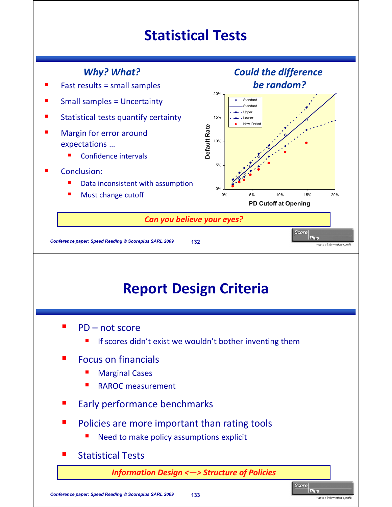#### **Statistical Tests**

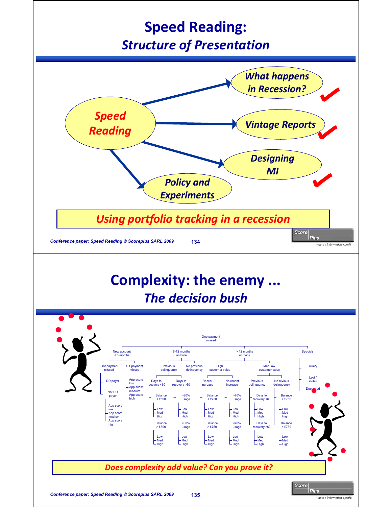#### **Speed Reading:** *Structure of Presentation*



#### **Complexity: the enemy ...** *The decision bush*

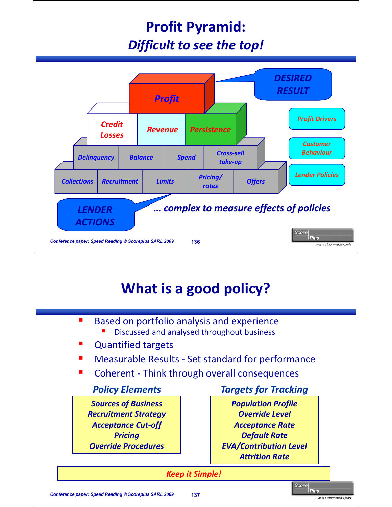### **Profit Pyramid:** *Difficult to see the top!*



#### **Based on portfolio analysis and experience** Discussed and analysed throughout business

- Quantified targets
- Measurable Results Set standard for performance
- Coherent Think through overall consequences

*Sources of Business Recruitment Strategy Acceptance Cut-off Pricing Override Procedures*

#### *Policy Elements Targets for Tracking*

*Population Profile Override Level Acceptance Rate Default Rate EVA/Contribution Level Attrition Rate*

*Keep it Simple!*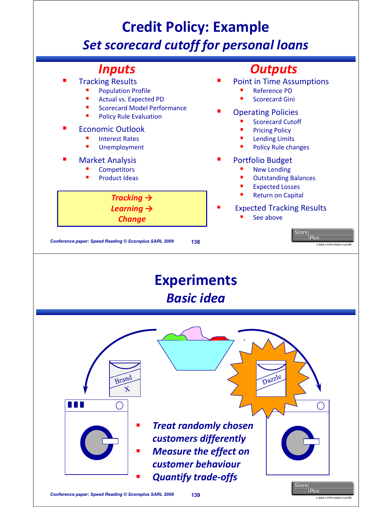### **Credit Policy: Example** *Set scorecard cutoff for personal loans*

## **Inputs**<br>Tracking Results

- Population Profile
- Actual vs. Expected PD
- Scorecard Model Performance
- Policy Rule Evaluation

#### Economic Outlook

- Interest Rates
- Unemployment

#### Market Analysis

- **Competitors**
- Product Ideas

#### *<u>Outputs</u>*

- Point in Time Assumptions
	- Reference PD
	- Scorecard Gini

#### Operating Policies

- Scorecard Cutoff
- Pricing Policy
- Lending Limits
- Policy Rule changes

#### Portfolio Budget

- New Lending
- Outstanding Balances
- Expected Losses
- Return on Capital

#### Expected Tracking Results

Score

**Plus** 

See above

**Conference paper: Speed Reading © Scoreplus SARL 2009 138 138 138 138 138 1100 <b>1100 1200 1200 1200** 

*Tracking → Learning → Change*

**Experiments** *Basic idea* Dazzle Brand  $\mathbf{\hat{x}}$ a na T ◯ *Treat randomly chosen customers differently Measure the effect on customer behaviour Quantify trade-offs*

icore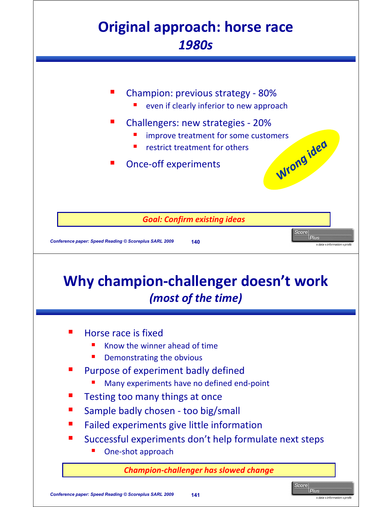#### **Original approach: horse race** *1980s*

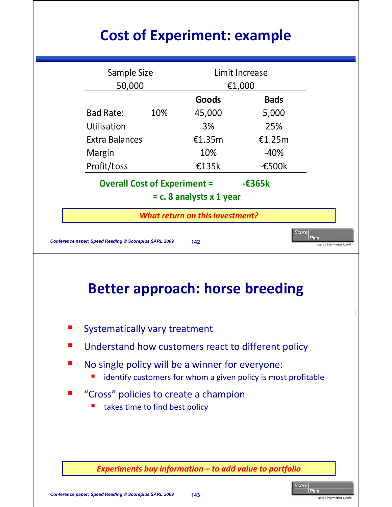## **Cost of Experiment: example**

| Sample Size<br>Limit Increase<br>50,000<br>€1,000<br>Goods<br><b>Bads</b><br><b>Bad Rate:</b><br>10%<br>45,000<br>5,000<br>Utilisation<br>3%<br>25%<br><b>Extra Balances</b><br>€1.35 $m$<br>€1.25m<br>$-40%$<br>10%<br>Margin<br>Profit/Loss<br>£135k<br>$-\epsilon$ 500 $k$<br><b>Overall Cost of Experiment =</b><br>$-\epsilon$ 365k<br>$= c. 8$ analysts x 1 year<br><b>What return on this investment?</b><br>Score<br><b>Plus</b><br>Conference paper: Speed Reading © Scoreplus SARL 2009<br>142<br>→ data → information → profit<br><b>Better approach: horse breeding</b><br><b>Systematically vary treatment</b><br>Understand how customers react to different policy<br>No single policy will be a winner for everyone:<br>identify customers for whom a given policy is most profitable<br>"Cross" policies to create a champion<br>takes time to find best policy |  |  |  |
|----------------------------------------------------------------------------------------------------------------------------------------------------------------------------------------------------------------------------------------------------------------------------------------------------------------------------------------------------------------------------------------------------------------------------------------------------------------------------------------------------------------------------------------------------------------------------------------------------------------------------------------------------------------------------------------------------------------------------------------------------------------------------------------------------------------------------------------------------------------------------------|--|--|--|
|                                                                                                                                                                                                                                                                                                                                                                                                                                                                                                                                                                                                                                                                                                                                                                                                                                                                                  |  |  |  |
|                                                                                                                                                                                                                                                                                                                                                                                                                                                                                                                                                                                                                                                                                                                                                                                                                                                                                  |  |  |  |
|                                                                                                                                                                                                                                                                                                                                                                                                                                                                                                                                                                                                                                                                                                                                                                                                                                                                                  |  |  |  |
|                                                                                                                                                                                                                                                                                                                                                                                                                                                                                                                                                                                                                                                                                                                                                                                                                                                                                  |  |  |  |
|                                                                                                                                                                                                                                                                                                                                                                                                                                                                                                                                                                                                                                                                                                                                                                                                                                                                                  |  |  |  |
|                                                                                                                                                                                                                                                                                                                                                                                                                                                                                                                                                                                                                                                                                                                                                                                                                                                                                  |  |  |  |
|                                                                                                                                                                                                                                                                                                                                                                                                                                                                                                                                                                                                                                                                                                                                                                                                                                                                                  |  |  |  |
|                                                                                                                                                                                                                                                                                                                                                                                                                                                                                                                                                                                                                                                                                                                                                                                                                                                                                  |  |  |  |
|                                                                                                                                                                                                                                                                                                                                                                                                                                                                                                                                                                                                                                                                                                                                                                                                                                                                                  |  |  |  |
|                                                                                                                                                                                                                                                                                                                                                                                                                                                                                                                                                                                                                                                                                                                                                                                                                                                                                  |  |  |  |
|                                                                                                                                                                                                                                                                                                                                                                                                                                                                                                                                                                                                                                                                                                                                                                                                                                                                                  |  |  |  |
|                                                                                                                                                                                                                                                                                                                                                                                                                                                                                                                                                                                                                                                                                                                                                                                                                                                                                  |  |  |  |
|                                                                                                                                                                                                                                                                                                                                                                                                                                                                                                                                                                                                                                                                                                                                                                                                                                                                                  |  |  |  |
|                                                                                                                                                                                                                                                                                                                                                                                                                                                                                                                                                                                                                                                                                                                                                                                                                                                                                  |  |  |  |
|                                                                                                                                                                                                                                                                                                                                                                                                                                                                                                                                                                                                                                                                                                                                                                                                                                                                                  |  |  |  |
|                                                                                                                                                                                                                                                                                                                                                                                                                                                                                                                                                                                                                                                                                                                                                                                                                                                                                  |  |  |  |
|                                                                                                                                                                                                                                                                                                                                                                                                                                                                                                                                                                                                                                                                                                                                                                                                                                                                                  |  |  |  |
|                                                                                                                                                                                                                                                                                                                                                                                                                                                                                                                                                                                                                                                                                                                                                                                                                                                                                  |  |  |  |
| Experiments buy information - to add value to portfolio                                                                                                                                                                                                                                                                                                                                                                                                                                                                                                                                                                                                                                                                                                                                                                                                                          |  |  |  |

Score |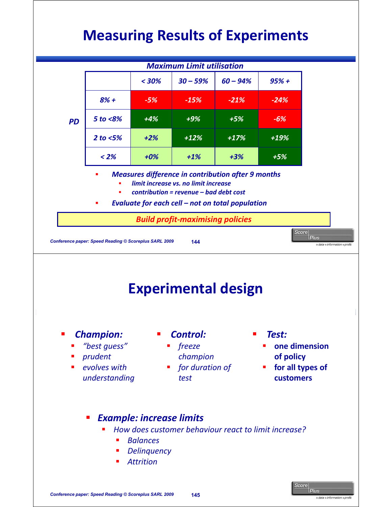# **Measuring Results of Experiments**



lcore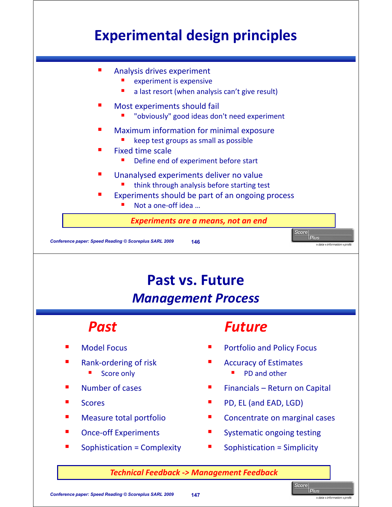## **Experimental design principles**



#### **Past vs. Future** *Management Process*

- Model Focus
- Rank-ordering of risk
	- Score only
- Number of cases
- **Scores**
- Measure total portfolio
- Once-off Experiments
- Sophistication = Complexity

#### **Past Future**

- Portfolio and Policy Focus
- Accuracy of Estimates
	- PD and other
- Financials Return on Capital
- PD, EL (and EAD, LGD)
- Concentrate on marginal cases
- Systematic ongoing testing
- Sophistication = Simplicity

*Technical Feedback -> Management Feedback*